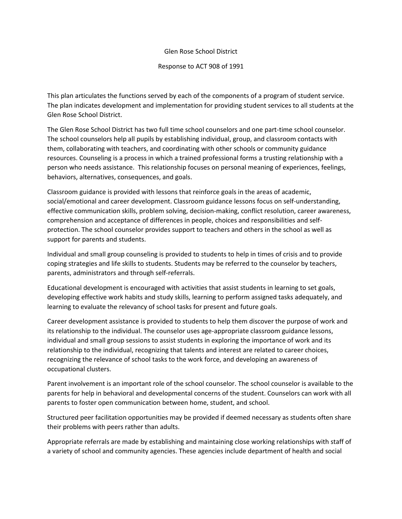## Glen Rose School District

Response to ACT 908 of 1991

This plan articulates the functions served by each of the components of a program of student service. The plan indicates development and implementation for providing student services to all students at the Glen Rose School District.

The Glen Rose School District has two full time school counselors and one part-time school counselor. The school counselors help all pupils by establishing individual, group, and classroom contacts with them, collaborating with teachers, and coordinating with other schools or community guidance resources. Counseling is a process in which a trained professional forms a trusting relationship with a person who needs assistance. This relationship focuses on personal meaning of experiences, feelings, behaviors, alternatives, consequences, and goals.

Classroom guidance is provided with lessons that reinforce goals in the areas of academic, social/emotional and career development. Classroom guidance lessons focus on self-understanding, effective communication skills, problem solving, decision-making, conflict resolution, career awareness, comprehension and acceptance of differences in people, choices and responsibilities and selfprotection. The school counselor provides support to teachers and others in the school as well as support for parents and students.

Individual and small group counseling is provided to students to help in times of crisis and to provide coping strategies and life skills to students. Students may be referred to the counselor by teachers, parents, administrators and through self-referrals.

Educational development is encouraged with activities that assist students in learning to set goals, developing effective work habits and study skills, learning to perform assigned tasks adequately, and learning to evaluate the relevancy of school tasks for present and future goals.

Career development assistance is provided to students to help them discover the purpose of work and its relationship to the individual. The counselor uses age-appropriate classroom guidance lessons, individual and small group sessions to assist students in exploring the importance of work and its relationship to the individual, recognizing that talents and interest are related to career choices, recognizing the relevance of school tasks to the work force, and developing an awareness of occupational clusters.

Parent involvement is an important role of the school counselor. The school counselor is available to the parents for help in behavioral and developmental concerns of the student. Counselors can work with all parents to foster open communication between home, student, and school.

Structured peer facilitation opportunities may be provided if deemed necessary as students often share their problems with peers rather than adults.

Appropriate referrals are made by establishing and maintaining close working relationships with staff of a variety of school and community agencies. These agencies include department of health and social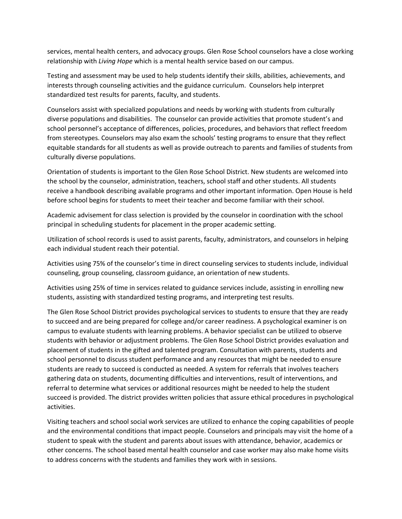services, mental health centers, and advocacy groups. Glen Rose School counselors have a close working relationship with *Living Hope* which is a mental health service based on our campus.

Testing and assessment may be used to help students identify their skills, abilities, achievements, and interests through counseling activities and the guidance curriculum. Counselors help interpret standardized test results for parents, faculty, and students.

Counselors assist with specialized populations and needs by working with students from culturally diverse populations and disabilities. The counselor can provide activities that promote student's and school personnel's acceptance of differences, policies, procedures, and behaviors that reflect freedom from stereotypes. Counselors may also exam the schools' testing programs to ensure that they reflect equitable standards for all students as well as provide outreach to parents and families of students from culturally diverse populations.

Orientation of students is important to the Glen Rose School District. New students are welcomed into the school by the counselor, administration, teachers, school staff and other students. All students receive a handbook describing available programs and other important information. Open House is held before school begins for students to meet their teacher and become familiar with their school.

Academic advisement for class selection is provided by the counselor in coordination with the school principal in scheduling students for placement in the proper academic setting.

Utilization of school records is used to assist parents, faculty, administrators, and counselors in helping each individual student reach their potential.

Activities using 75% of the counselor's time in direct counseling services to students include, individual counseling, group counseling, classroom guidance, an orientation of new students.

Activities using 25% of time in services related to guidance services include, assisting in enrolling new students, assisting with standardized testing programs, and interpreting test results.

The Glen Rose School District provides psychological services to students to ensure that they are ready to succeed and are being prepared for college and/or career readiness. A psychological examiner is on campus to evaluate students with learning problems. A behavior specialist can be utilized to observe students with behavior or adjustment problems. The Glen Rose School District provides evaluation and placement of students in the gifted and talented program. Consultation with parents, students and school personnel to discuss student performance and any resources that might be needed to ensure students are ready to succeed is conducted as needed. A system for referrals that involves teachers gathering data on students, documenting difficulties and interventions, result of interventions, and referral to determine what services or additional resources might be needed to help the student succeed is provided. The district provides written policies that assure ethical procedures in psychological activities.

Visiting teachers and school social work services are utilized to enhance the coping capabilities of people and the environmental conditions that impact people. Counselors and principals may visit the home of a student to speak with the student and parents about issues with attendance, behavior, academics or other concerns. The school based mental health counselor and case worker may also make home visits to address concerns with the students and families they work with in sessions.